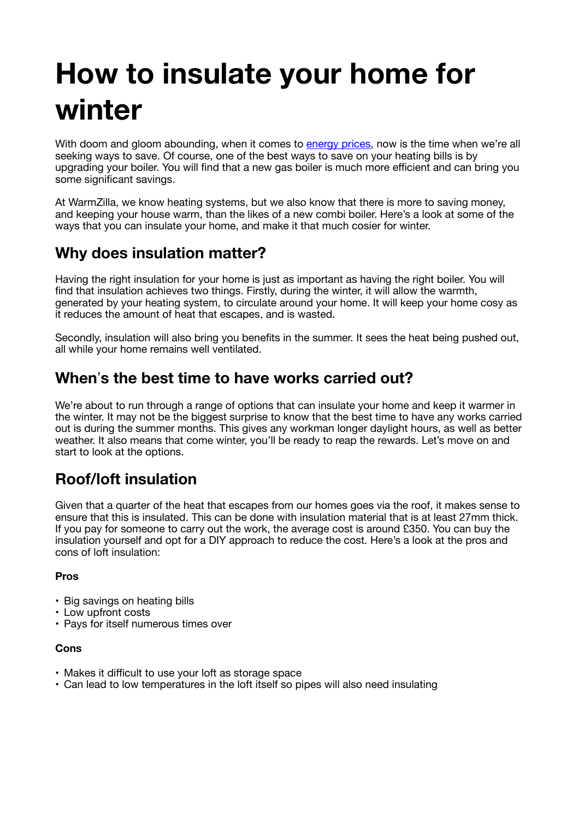# **How to insulate your home for winter**

With doom and gloom abounding, when it comes to energy prices, now is the time when we're all seeking ways to save. Of course, one of the best ways to save on your heating bills is by upgrading your boiler. You will find that a new gas boiler is much more efficient and can bring you some significant savings.

At WarmZilla, we know heating systems, but we also know that there is more to saving money, and keeping your house warm, than the likes of a new combi boiler. Here's a look at some of the ways that you can insulate your home, and make it that much cosier for winter.

# **Why does insulation matter?**

Having the right insulation for your home is just as important as having the right boiler. You will find that insulation achieves two things. Firstly, during the winter, it will allow the warmth, generated by your heating system, to circulate around your home. It will keep your home cosy as it reduces the amount of heat that escapes, and is wasted.

Secondly, insulation will also bring you benefits in the summer. It sees the heat being pushed out, all while your home remains well ventilated.

## **When**!**s the best time to have works carried out?**

We're about to run through a range of options that can insulate your home and keep it warmer in the winter. It may not be the biggest surprise to know that the best time to have any works carried out is during the summer months. This gives any workman longer daylight hours, as well as better weather. It also means that come winter, you'll be ready to reap the rewards. Let's move on and start to look at the options.

# **Roof/loft insulation**

Given that a quarter of the heat that escapes from our homes goes via the roof, it makes sense to ensure that this is insulated. This can be done with insulation material that is at least 27mm thick. If you pay for someone to carry out the work, the average cost is around £350. You can buy the insulation yourself and opt for a DIY approach to reduce the cost. Here's a look at the pros and cons of loft insulation:

## **Pros**

- Big savings on heating bills
- Low upfront costs
- Pays for itself numerous times over

#### **Cons**

- Makes it difficult to use your loft as storage space
- Can lead to low temperatures in the loft itself so pipes will also need insulating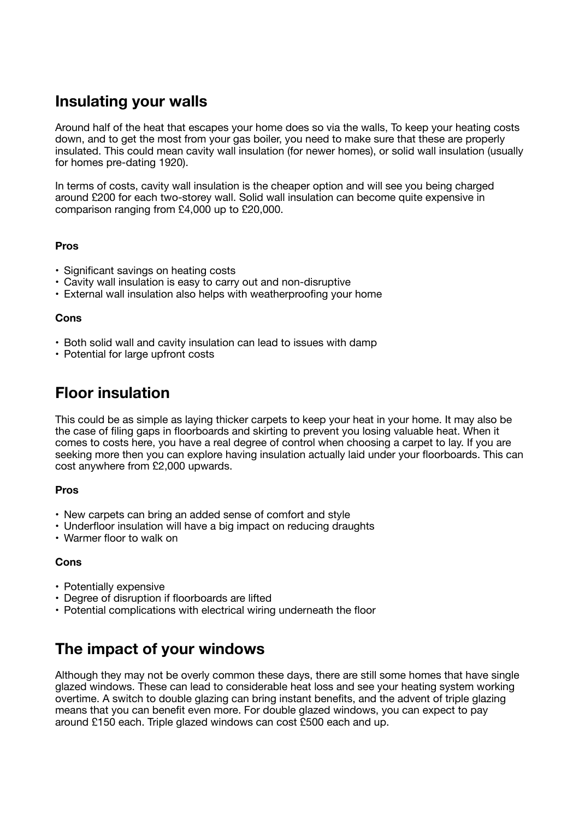# **Insulating your walls**

Around half of the heat that escapes your home does so via the walls, To keep your heating costs down, and to get the most from your gas boiler, you need to make sure that these are properly insulated. This could mean cavity wall insulation (for newer homes), or solid wall insulation (usually for homes pre-dating 1920).

In terms of costs, cavity wall insulation is the cheaper option and will see you being charged around £200 for each two-storey wall. Solid wall insulation can become quite expensive in comparison ranging from £4,000 up to £20,000.

## **Pros**

- Significant savings on heating costs
- Cavity wall insulation is easy to carry out and non-disruptive
- External wall insulation also helps with weatherproofing your home

#### **Cons**

- Both solid wall and cavity insulation can lead to issues with damp
- Potential for large upfront costs

## **Floor insulation**

This could be as simple as laying thicker carpets to keep your heat in your home. It may also be the case of filing gaps in floorboards and skirting to prevent you losing valuable heat. When it comes to costs here, you have a real degree of control when choosing a carpet to lay. If you are seeking more then you can explore having insulation actually laid under your floorboards. This can cost anywhere from £2,000 upwards.

#### **Pros**

- New carpets can bring an added sense of comfort and style
- Underfloor insulation will have a big impact on reducing draughts
- Warmer floor to walk on

#### **Cons**

- Potentially expensive
- Degree of disruption if floorboards are lifted
- Potential complications with electrical wiring underneath the floor

# **The impact of your windows**

Although they may not be overly common these days, there are still some homes that have single glazed windows. These can lead to considerable heat loss and see your heating system working overtime. A switch to double glazing can bring instant benefits, and the advent of triple glazing means that you can benefit even more. For double glazed windows, you can expect to pay around £150 each. Triple glazed windows can cost £500 each and up.